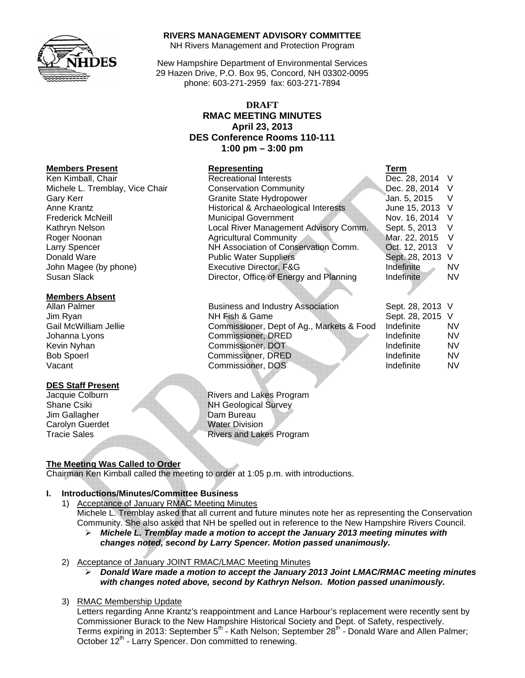

#### **RIVERS MANAGEMENT ADVISORY COMMITTEE**

NH Rivers Management and Protection Program

New Hampshire Department of Environmental Services 29 Hazen Drive, P.O. Box 95, Concord, NH 03302-0095 phone: 603-271-2959 fax: 603-271-7894

# **DRAFT RMAC MEETING MINUTES April 23, 2013 DES Conference Rooms 110-111 1:00 pm – 3:00 pm**

| <u>INCITINGI 9 LI ASCIII</u>    | <b>IZAN COLINIIA</b>                    | 1 CL 111         |           |
|---------------------------------|-----------------------------------------|------------------|-----------|
| Ken Kimball, Chair              | <b>Recreational Interests</b>           | Dec. 28, 2014 V  |           |
| Michele L. Tremblay, Vice Chair | <b>Conservation Community</b>           | Dec. 28, 2014 V  |           |
| Gary Kerr                       | <b>Granite State Hydropower</b>         | Jan. 5, 2015     | - V       |
| Anne Krantz                     | Historical & Archaeological Interests   | June 15, 2013 V  |           |
| <b>Frederick McNeill</b>        | <b>Municipal Government</b>             | Nov. 16, 2014 V  |           |
| Kathryn Nelson                  | Local River Management Advisory Comm.   | Sept. 5, 2013 V  |           |
| Roger Noonan                    | <b>Agricultural Community</b>           | Mar. 22, 2015 V  |           |
| Larry Spencer                   | NH Association of Conservation Comm.    | Oct. 12, 2013    | - V       |
| Donald Ware                     | <b>Public Water Suppliers</b>           | Sept. 28, 2013 V |           |
| John Magee (by phone)           | Executive Director, F&G                 | Indefinite       | NV.       |
| Susan Slack                     | Director, Office of Energy and Planning | Indefinite       | <b>NV</b> |

| Allan Palmer          | <b>Business and Industry Association</b>  | Sept. 28, 2013 V |     |
|-----------------------|-------------------------------------------|------------------|-----|
| Jim Ryan              | NH Fish & Game                            | Sept. 28, 2015 V |     |
| Gail McWilliam Jellie | Commissioner, Dept of Ag., Markets & Food | Indefinite       | NV. |
| Johanna Lyons         | Commissioner, DRED                        | Indefinite       | NV. |
| Kevin Nyhan           | Commissioner, DOT                         | Indefinite       | NV. |
| <b>Bob Spoerl</b>     | Commissioner, DRED                        | Indefinite       | NV. |
| Vacant                | Commissioner, DOS                         | Indefinite       | NV. |
|                       |                                           |                  |     |

Jacquie Colburn **Rivers** and Lakes Program Shane Csiki NH Geological Survey Tracie Sales Rivers and Lakes Program

# **The Meeting Was Called to Order**

Chairman Ken Kimball called the meeting to order at 1:05 p.m. with introductions.

#### **I. Introductions/Minutes/Committee Business**

- 1) Acceptance of January RMAC Meeting Minutes Michele L. Tremblay asked that all current and future minutes note her as representing the Conservation Community. She also asked that NH be spelled out in reference to the New Hampshire Rivers Council.
	- ¾ *Michele L. Tremblay made a motion to accept the January 2013 meeting minutes with changes noted, second by Larry Spencer. Motion passed unanimously.*
- 2) Acceptance of January JOINT RMAC/LMAC Meeting Minutes
	- ¾ *Donald Ware made a motion to accept the January 2013 Joint LMAC/RMAC meeting minutes with changes noted above, second by Kathryn Nelson. Motion passed unanimously.*
- 3) RMAC Membership Update

Letters regarding Anne Krantz's reappointment and Lance Harbour's replacement were recently sent by Commissioner Burack to the New Hampshire Historical Society and Dept. of Safety, respectively. Terms expiring in 2013: September 5<sup>th</sup> - Kath Nelson; September 28<sup>th</sup> - Donald Ware and Allen Palmer; October 12<sup>th</sup> - Larry Spencer. Don committed to renewing.

# **Members Present Representing Term**

### **Members Absent**

#### **DES Staff Present**

Jim Gallagher Dam Bureau Carolyn Guerdet Water Division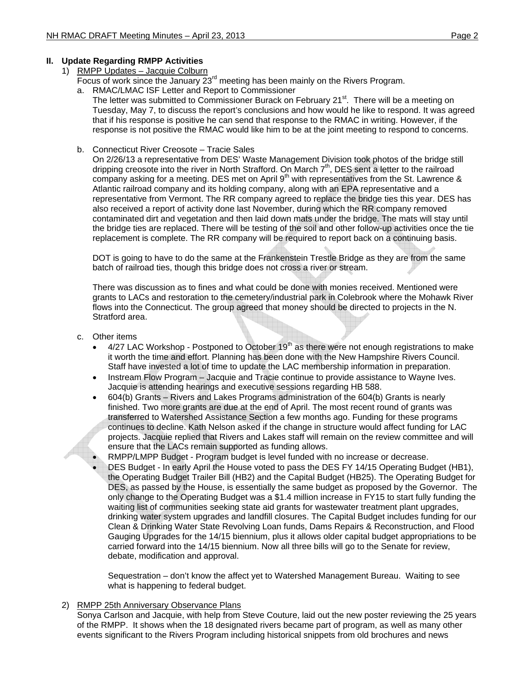# **II. Update Regarding RMPP Activities**

- 1) RMPP Updates Jacquie Colburn
	- Focus of work since the January  $23<sup>rd</sup>$  meeting has been mainly on the Rivers Program.
	- a. RMAC/LMAC ISF Letter and Report to Commissioner
		- The letter was submitted to Commissioner Burack on February 21<sup>st</sup>. There will be a meeting on Tuesday, May 7, to discuss the report's conclusions and how would he like to respond. It was agreed that if his response is positive he can send that response to the RMAC in writing. However, if the response is not positive the RMAC would like him to be at the joint meeting to respond to concerns.
	- b. Connecticut River Creosote Tracie Sales

On 2/26/13 a representative from DES' Waste Management Division took photos of the bridge still dripping creosote into the river in North Strafford. On March  $7<sup>th</sup>$ , DES sent a letter to the railroad company asking for a meeting. DES met on April 9<sup>th</sup> with representatives from the St. Lawrence & Atlantic railroad company and its holding company, along with an EPA representative and a representative from Vermont. The RR company agreed to replace the bridge ties this year. DES has also received a report of activity done last November, during which the RR company removed contaminated dirt and vegetation and then laid down mats under the bridge. The mats will stay until the bridge ties are replaced. There will be testing of the soil and other follow-up activities once the tie replacement is complete. The RR company will be required to report back on a continuing basis.

DOT is going to have to do the same at the Frankenstein Trestle Bridge as they are from the same batch of railroad ties, though this bridge does not cross a river or stream.

There was discussion as to fines and what could be done with monies received. Mentioned were grants to LACs and restoration to the cemetery/industrial park in Colebrook where the Mohawk River flows into the Connecticut. The group agreed that money should be directed to projects in the N. Stratford area.

- c. Other items
	- $4/27$  LAC Workshop Postponed to October 19<sup>th</sup> as there were not enough registrations to make it worth the time and effort. Planning has been done with the New Hampshire Rivers Council. Staff have invested a lot of time to update the LAC membership information in preparation.
	- Instream Flow Program Jacquie and Tracie continue to provide assistance to Wayne Ives. Jacquie is attending hearings and executive sessions regarding HB 588.
	- 604(b) Grants Rivers and Lakes Programs administration of the 604(b) Grants is nearly finished. Two more grants are due at the end of April. The most recent round of grants was transferred to Watershed Assistance Section a few months ago. Funding for these programs continues to decline. Kath Nelson asked if the change in structure would affect funding for LAC projects. Jacquie replied that Rivers and Lakes staff will remain on the review committee and will ensure that the LACs remain supported as funding allows.
		- RMPP/LMPP Budget Program budget is level funded with no increase or decrease.
	- DES Budget In early April the House voted to pass the DES FY 14/15 Operating Budget (HB1), the Operating Budget Trailer Bill (HB2) and the Capital Budget (HB25). The Operating Budget for DES, as passed by the House, is essentially the same budget as proposed by the Governor. The only change to the Operating Budget was a \$1.4 million increase in FY15 to start fully funding the waiting list of communities seeking state aid grants for wastewater treatment plant upgrades, drinking water system upgrades and landfill closures. The Capital Budget includes funding for our Clean & Drinking Water State Revolving Loan funds, Dams Repairs & Reconstruction, and Flood Gauging Upgrades for the 14/15 biennium, plus it allows older capital budget appropriations to be carried forward into the 14/15 biennium. Now all three bills will go to the Senate for review, debate, modification and approval.

Sequestration – don't know the affect yet to Watershed Management Bureau. Waiting to see what is happening to federal budget.

#### 2) RMPP 25th Anniversary Observance Plans

Sonya Carlson and Jacquie, with help from Steve Couture, laid out the new poster reviewing the 25 years of the RMPP. It shows when the 18 designated rivers became part of program, as well as many other events significant to the Rivers Program including historical snippets from old brochures and news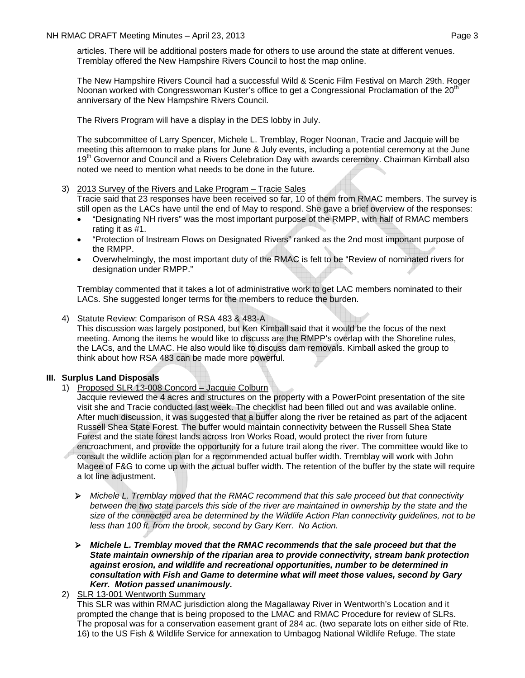articles. There will be additional posters made for others to use around the state at different venues. Tremblay offered the New Hampshire Rivers Council to host the map online.

The New Hampshire Rivers Council had a successful Wild & Scenic Film Festival on March 29th. Roger Noonan worked with Congresswoman Kuster's office to get a Congressional Proclamation of the 20<sup>th</sup> anniversary of the New Hampshire Rivers Council.

The Rivers Program will have a display in the DES lobby in July.

The subcommittee of Larry Spencer, Michele L. Tremblay, Roger Noonan, Tracie and Jacquie will be meeting this afternoon to make plans for June & July events, including a potential ceremony at the June 19<sup>th</sup> Governor and Council and a Rivers Celebration Day with awards ceremony. Chairman Kimball also noted we need to mention what needs to be done in the future.

#### 3) 2013 Survey of the Rivers and Lake Program – Tracie Sales

Tracie said that 23 responses have been received so far, 10 of them from RMAC members. The survey is still open as the LACs have until the end of May to respond. She gave a brief overview of the responses:

- "Designating NH rivers" was the most important purpose of the RMPP, with half of RMAC members rating it as #1.
- "Protection of Instream Flows on Designated Rivers" ranked as the 2nd most important purpose of the RMPP.
- Overwhelmingly, the most important duty of the RMAC is felt to be "Review of nominated rivers for designation under RMPP."

Tremblay commented that it takes a lot of administrative work to get LAC members nominated to their LACs. She suggested longer terms for the members to reduce the burden.

4) Statute Review: Comparison of RSA 483 & 483-A

This discussion was largely postponed, but Ken Kimball said that it would be the focus of the next meeting. Among the items he would like to discuss are the RMPP's overlap with the Shoreline rules, the LACs, and the LMAC. He also would like to discuss dam removals. Kimball asked the group to think about how RSA 483 can be made more powerful.

# **III. Surplus Land Disposals**

1) Proposed SLR 13-008 Concord – Jacquie Colburn

Jacquie reviewed the 4 acres and structures on the property with a PowerPoint presentation of the site visit she and Tracie conducted last week. The checklist had been filled out and was available online. After much discussion, it was suggested that a buffer along the river be retained as part of the adjacent Russell Shea State Forest. The buffer would maintain connectivity between the Russell Shea State Forest and the state forest lands across Iron Works Road, would protect the river from future encroachment, and provide the opportunity for a future trail along the river. The committee would like to consult the wildlife action plan for a recommended actual buffer width. Tremblay will work with John Magee of F&G to come up with the actual buffer width. The retention of the buffer by the state will require a lot line adjustment.

- ¾ *Michele L. Tremblay moved that the RMAC recommend that this sale proceed but that connectivity*  between the two state parcels this side of the river are maintained in ownership by the state and the *size of the connected area be determined by the Wildlife Action Plan connectivity guidelines, not to be less than 100 ft. from the brook, second by Gary Kerr. No Action.*
- ¾ *Michele L. Tremblay moved that the RMAC recommends that the sale proceed but that the State maintain ownership of the riparian area to provide connectivity, stream bank protection against erosion, and wildlife and recreational opportunities, number to be determined in consultation with Fish and Game to determine what will meet those values, second by Gary Kerr. Motion passed unanimously.*

2) SLR 13-001 Wentworth Summary This SLR was within RMAC jurisdiction along the Magallaway River in Wentworth's Location and it prompted the change that is being proposed to the LMAC and RMAC Procedure for review of SLRs. The proposal was for a conservation easement grant of 284 ac. (two separate lots on either side of Rte. 16) to the US Fish & Wildlife Service for annexation to Umbagog National Wildlife Refuge. The state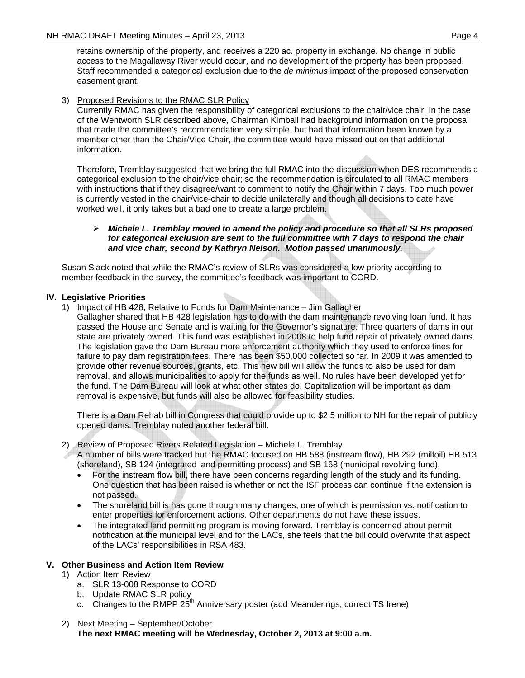retains ownership of the property, and receives a 220 ac. property in exchange. No change in public access to the Magallaway River would occur, and no development of the property has been proposed. Staff recommended a categorical exclusion due to the *de minimus* impact of the proposed conservation easement grant.

### 3) Proposed Revisions to the RMAC SLR Policy

Currently RMAC has given the responsibility of categorical exclusions to the chair/vice chair. In the case of the Wentworth SLR described above, Chairman Kimball had background information on the proposal that made the committee's recommendation very simple, but had that information been known by a member other than the Chair/Vice Chair, the committee would have missed out on that additional information.

Therefore, Tremblay suggested that we bring the full RMAC into the discussion when DES recommends a categorical exclusion to the chair/vice chair; so the recommendation is circulated to all RMAC members with instructions that if they disagree/want to comment to notify the Chair within 7 days. Too much power is currently vested in the chair/vice-chair to decide unilaterally and though all decisions to date have worked well, it only takes but a bad one to create a large problem.

#### ¾ *Michele L. Tremblay moved to amend the policy and procedure so that all SLRs proposed for categorical exclusion are sent to the full committee with 7 days to respond the chair and vice chair, second by Kathryn Nelson. Motion passed unanimously.*

Susan Slack noted that while the RMAC's review of SLRs was considered a low priority according to member feedback in the survey, the committee's feedback was important to CORD.

### **IV. Legislative Priorities**

1) Impact of HB 428, Relative to Funds for Dam Maintenance – Jim Gallagher

Gallagher shared that HB 428 legislation has to do with the dam maintenance revolving loan fund. It has passed the House and Senate and is waiting for the Governor's signature. Three quarters of dams in our state are privately owned. This fund was established in 2008 to help fund repair of privately owned dams. The legislation gave the Dam Bureau more enforcement authority which they used to enforce fines for failure to pay dam registration fees. There has been \$50,000 collected so far. In 2009 it was amended to provide other revenue sources, grants, etc. This new bill will allow the funds to also be used for dam removal, and allows municipalities to apply for the funds as well. No rules have been developed yet for the fund. The Dam Bureau will look at what other states do. Capitalization will be important as dam removal is expensive, but funds will also be allowed for feasibility studies.

There is a Dam Rehab bill in Congress that could provide up to \$2.5 million to NH for the repair of publicly opened dams. Tremblay noted another federal bill.

#### 2) Review of Proposed Rivers Related Legislation – Michele L. Tremblay

A number of bills were tracked but the RMAC focused on HB 588 (instream flow), HB 292 (milfoil) HB 513 (shoreland), SB 124 (integrated land permitting process) and SB 168 (municipal revolving fund).

- For the instream flow bill, there have been concerns regarding length of the study and its funding. One question that has been raised is whether or not the ISF process can continue if the extension is not passed.
- The shoreland bill is has gone through many changes, one of which is permission vs. notification to enter properties for enforcement actions. Other departments do not have these issues.
- The integrated land permitting program is moving forward. Tremblay is concerned about permit notification at the municipal level and for the LACs, she feels that the bill could overwrite that aspect of the LACs' responsibilities in RSA 483.

### **V. Other Business and Action Item Review**

- 1) Action Item Review
	- a. SLR 13-008 Response to CORD
	- b. Update RMAC SLR policy
	- c. Changes to the RMPP  $25<sup>th</sup>$  Anniversary poster (add Meanderings, correct TS Irene)
- 2) Next Meeting September/October **The next RMAC meeting will be Wednesday, October 2, 2013 at 9:00 a.m.**